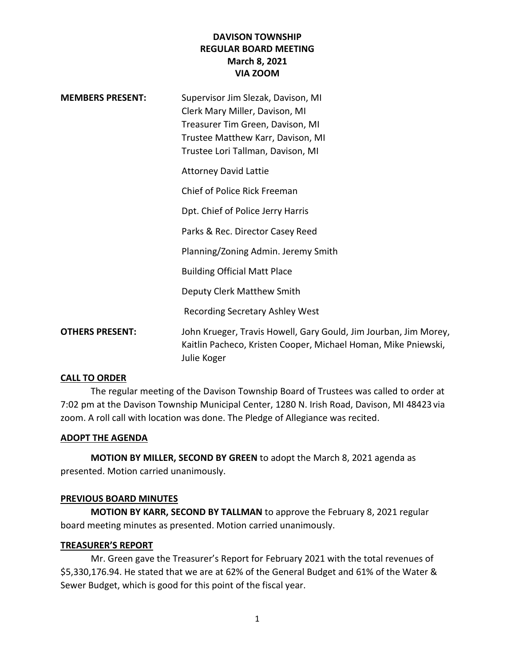# **DAVISON TOWNSHIP REGULAR BOARD MEETING March 8, 2021 VIA ZOOM**

| <b>MEMBERS PRESENT:</b> | Supervisor Jim Slezak, Davison, MI<br>Clerk Mary Miller, Davison, MI<br>Treasurer Tim Green, Davison, MI<br>Trustee Matthew Karr, Davison, MI     |
|-------------------------|---------------------------------------------------------------------------------------------------------------------------------------------------|
|                         | Trustee Lori Tallman, Davison, MI<br><b>Attorney David Lattie</b>                                                                                 |
|                         | Chief of Police Rick Freeman                                                                                                                      |
|                         | Dpt. Chief of Police Jerry Harris                                                                                                                 |
|                         | Parks & Rec. Director Casey Reed                                                                                                                  |
|                         | Planning/Zoning Admin. Jeremy Smith                                                                                                               |
|                         | <b>Building Official Matt Place</b>                                                                                                               |
|                         | Deputy Clerk Matthew Smith                                                                                                                        |
|                         | <b>Recording Secretary Ashley West</b>                                                                                                            |
| <b>OTHERS PRESENT:</b>  | John Krueger, Travis Howell, Gary Gould, Jim Jourban, Jim Morey,<br>Kaitlin Pacheco, Kristen Cooper, Michael Homan, Mike Pniewski,<br>Julie Koger |

### **CALL TO ORDER**

The regular meeting of the Davison Township Board of Trustees was called to order at 7:02 pm at the Davison Township Municipal Center, 1280 N. Irish Road, Davison, MI 48423 via zoom. A roll call with location was done. The Pledge of Allegiance was recited.

#### **ADOPT THE AGENDA**

**MOTION BY MILLER, SECOND BY GREEN** to adopt the March 8, 2021 agenda as presented. Motion carried unanimously.

### **PREVIOUS BOARD MINUTES**

**MOTION BY KARR, SECOND BY TALLMAN** to approve the February 8, 2021 regular board meeting minutes as presented. Motion carried unanimously.

### **TREASURER'S REPORT**

Mr. Green gave the Treasurer's Report for February 2021 with the total revenues of \$5,330,176.94. He stated that we are at 62% of the General Budget and 61% of the Water & Sewer Budget, which is good for this point of the fiscal year.